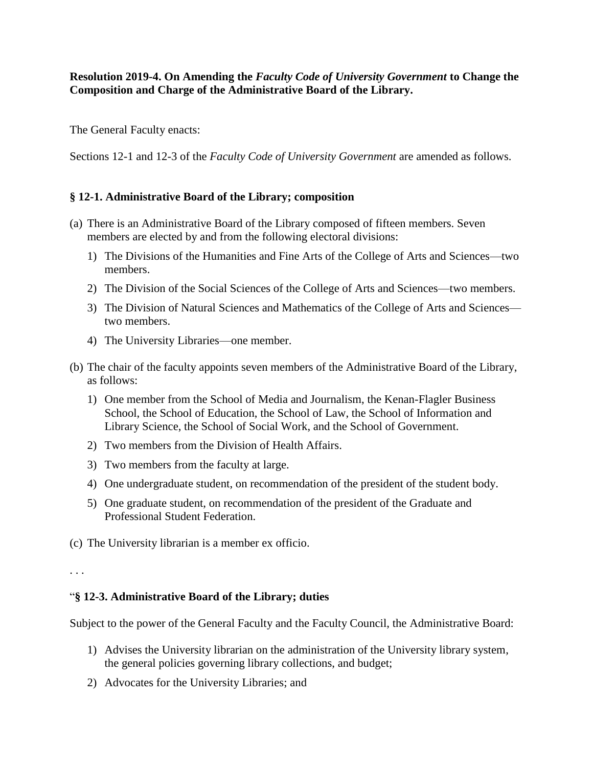**Resolution 2019-4. On Amending the** *Faculty Code of University Government* **to Change the Composition and Charge of the Administrative Board of the Library.**

The General Faculty enacts:

Sections 12-1 and 12-3 of the *Faculty Code of University Government* are amended as follows.

## **§ 12-1. Administrative Board of the Library; composition**

- (a) There is an Administrative Board of the Library composed of fifteen members. Seven members are elected by and from the following electoral divisions:
	- 1) The Divisions of the Humanities and Fine Arts of the College of Arts and Sciences—two members.
	- 2) The Division of the Social Sciences of the College of Arts and Sciences—two members.
	- 3) The Division of Natural Sciences and Mathematics of the College of Arts and Sciences two members.
	- 4) The University Libraries—one member.
- (b) The chair of the faculty appoints seven members of the Administrative Board of the Library, as follows:
	- 1) One member from the School of Media and Journalism, the Kenan-Flagler Business School, the School of Education, the School of Law, the School of Information and Library Science, the School of Social Work, and the School of Government.
	- 2) Two members from the Division of Health Affairs.
	- 3) Two members from the faculty at large.
	- 4) One undergraduate student, on recommendation of the president of the student body.
	- 5) One graduate student, on recommendation of the president of the Graduate and Professional Student Federation.

(c) The University librarian is a member ex officio.

. . .

## "**§ 12-3. Administrative Board of the Library; duties**

Subject to the power of the General Faculty and the Faculty Council, the Administrative Board:

- 1) Advises the University librarian on the administration of the University library system, the general policies governing library collections, and budget;
- 2) Advocates for the University Libraries; and